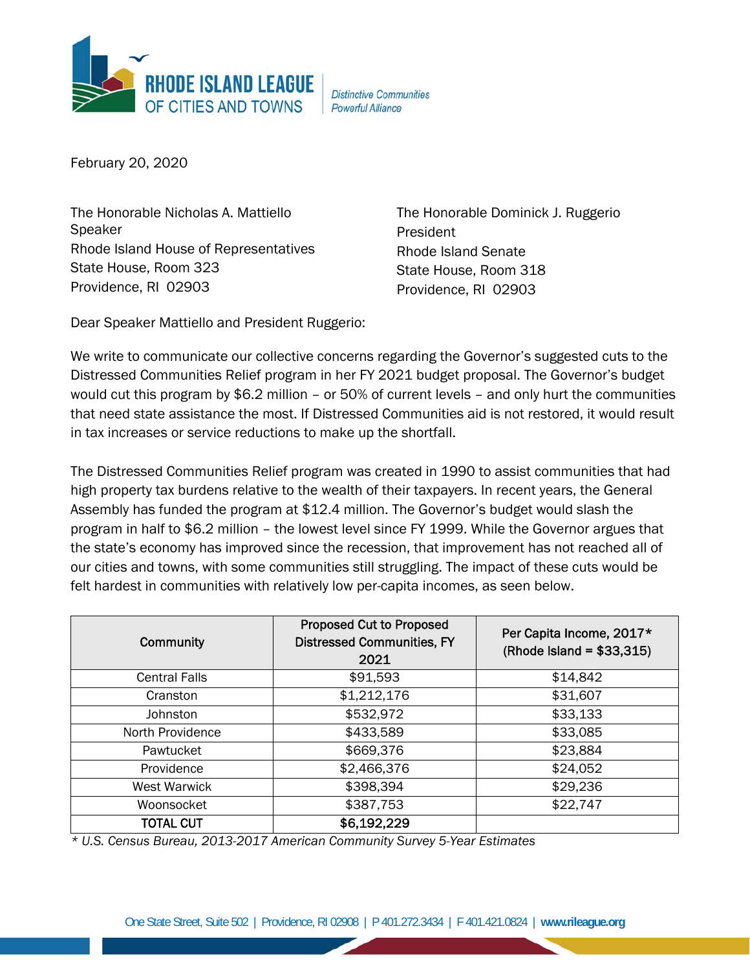

**Distinctive Communities Powerful Alliance** 

February 20, 2020

The Honorable Nicholas A. Mattiello Speaker Rhode Island House of Representatives State House, Room 323 Providence, RI 02903

The Honorable Dominick J. Ruggerio President Rhode Island Senate State House, Room 318 Providence, RI 02903

Dear Speaker Mattiello and President Ruggerio:

We write to communicate our collective concerns regarding the Governor's suggested cuts to the Distressed Communities Relief program in her FY 2021 budget proposal. The Governor's budget would cut this program by \$6.2 million – or 50% of current levels – and only hurt the communities that need state assistance the most. If Distressed Communities aid is not restored, it would result in tax increases or service reductions to make up the shortfall.

The Distressed Communities Relief program was created in 1990 to assist communities that had high property tax burdens relative to the wealth of their taxpayers. In recent years, the General Assembly has funded the program at \$12.4 million. The Governor's budget would slash the program in half to \$6.2 million – the lowest level since FY 1999. While the Governor argues that the state's economy has improved since the recession, that improvement has not reached all of our cities and towns, with some communities still struggling. The impact of these cuts would be felt hardest in communities with relatively low per-capita incomes, as seen below.

| <b>Community</b>     | <b>Proposed Cut to Proposed</b><br><b>Distressed Communities, FY</b><br>2021 | Per Capita Income, 2017*<br>$(Rhode$ Island = \$33,315) |
|----------------------|------------------------------------------------------------------------------|---------------------------------------------------------|
| <b>Central Falls</b> | \$91,593                                                                     | \$14,842                                                |
| Cranston             | \$1,212,176                                                                  | \$31,607                                                |
| Johnston             | \$532,972                                                                    | \$33,133                                                |
| North Providence     | \$433,589                                                                    | \$33,085                                                |
| Pawtucket            | \$669,376                                                                    | \$23,884                                                |
| Providence           | \$2,466,376                                                                  | \$24,052                                                |
| <b>West Warwick</b>  | \$398,394                                                                    | \$29,236                                                |
| Woonsocket           | \$387,753                                                                    | \$22,747                                                |
| <b>TOTAL CUT</b>     | \$6,192,229                                                                  |                                                         |

*\* U.S. Census Bureau, 2013-2017 American Community Survey 5-Year Estimates*